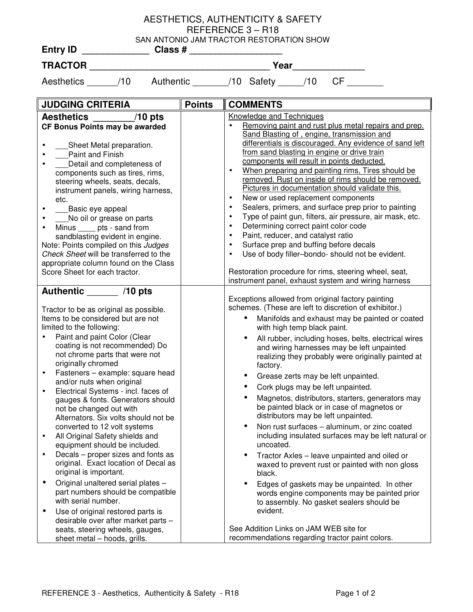## AESTHETICS, AUTHENTICITY & SAFETY REFERENCE 3 – R18 SAN ANTONIO JAM TRACTOR RESTORATION SHOW

| Year                                                                                                                                                                                                                                                                                                                                                                                                                                                                                                                                                                                                                                                                                                                                                                                                                                                                                                                                                                           |               |                                                                                                                                                                                                                                                                                                                                                                                                                                                                                                                                                                                                                                                                                                                                                                                                                                                                                                                                                                                                                                                                                                                                                             |  |  |
|--------------------------------------------------------------------------------------------------------------------------------------------------------------------------------------------------------------------------------------------------------------------------------------------------------------------------------------------------------------------------------------------------------------------------------------------------------------------------------------------------------------------------------------------------------------------------------------------------------------------------------------------------------------------------------------------------------------------------------------------------------------------------------------------------------------------------------------------------------------------------------------------------------------------------------------------------------------------------------|---------------|-------------------------------------------------------------------------------------------------------------------------------------------------------------------------------------------------------------------------------------------------------------------------------------------------------------------------------------------------------------------------------------------------------------------------------------------------------------------------------------------------------------------------------------------------------------------------------------------------------------------------------------------------------------------------------------------------------------------------------------------------------------------------------------------------------------------------------------------------------------------------------------------------------------------------------------------------------------------------------------------------------------------------------------------------------------------------------------------------------------------------------------------------------------|--|--|
| Aesthetics ______/10 Authentic _______/10 Safety _____/10<br>$CF$ and $CF$                                                                                                                                                                                                                                                                                                                                                                                                                                                                                                                                                                                                                                                                                                                                                                                                                                                                                                     |               |                                                                                                                                                                                                                                                                                                                                                                                                                                                                                                                                                                                                                                                                                                                                                                                                                                                                                                                                                                                                                                                                                                                                                             |  |  |
| <b>JUDGING CRITERIA</b>                                                                                                                                                                                                                                                                                                                                                                                                                                                                                                                                                                                                                                                                                                                                                                                                                                                                                                                                                        | <b>Points</b> | <b>COMMENTS</b>                                                                                                                                                                                                                                                                                                                                                                                                                                                                                                                                                                                                                                                                                                                                                                                                                                                                                                                                                                                                                                                                                                                                             |  |  |
| Aesthetics _______/10 pts<br>CF Bonus Points may be awarded<br>__Sheet Metal preparation.<br>Paint and Finish<br>$\bullet$<br>Detail and completeness of<br>$\bullet$<br>components such as tires, rims,<br>steering wheels, seats, decals,<br>instrument panels, wiring harness,<br>etc.<br>___Basic eye appeal<br>$\bullet$<br>No oil or grease on parts<br>$\bullet$<br>Minus _____ pts - sand from<br>$\bullet$<br>sandblasting evident in engine.<br>Note: Points compiled on this Judges<br>Check Sheet will be transferred to the<br>appropriate column found on the Class<br>Score Sheet for each tractor.                                                                                                                                                                                                                                                                                                                                                             |               | <b>Knowledge and Techniques</b><br>Removing paint and rust plus metal repairs and prep.<br>$\bullet$<br>Sand Blasting of, engine, transmission and<br>differentials is discouraged. Any evidence of sand left<br>from sand blasting in engine or drive train<br>components will result in points deducted.<br>When preparing and painting rims, Tires should be<br>$\bullet$<br>removed. Rust on inside of rims should be removed.<br>Pictures in documentation should validate this.<br>New or used replacement components<br>$\bullet$<br>Sealers, primers, and surface prep prior to painting<br>$\bullet$<br>Type of paint gun, filters, air pressure, air mask, etc.<br>$\bullet$<br>Determining correct paint color code<br>$\bullet$<br>Paint, reducer, and catalyst ratio<br>$\bullet$<br>Surface prep and buffing before decals<br>$\bullet$<br>Use of body filler-bondo- should not be evident.<br>$\bullet$<br>Restoration procedure for rims, steering wheel, seat,<br>instrument panel, exhaust system and wiring harness                                                                                                                      |  |  |
| Authentic _______ /10 pts<br>Tractor to be as original as possible.<br>Items to be considered but are not<br>limited to the following:<br>Paint and paint Color (Clear<br>$\bullet$<br>coating is not recommended) Do<br>not chrome parts that were not<br>originally chromed<br>Fasteners - example: square head<br>and/or nuts when original<br>Electrical Systems - incl. faces of<br>gauges & fonts. Generators should<br>not be changed out with<br>Alternators. Six volts should not be<br>converted to 12 volt systems<br>All Original Safety shields and<br>$\bullet$<br>equipment should be included.<br>Decals - proper sizes and fonts as<br>$\bullet$<br>original. Exact location of Decal as<br>original is important.<br>Original unaltered serial plates -<br>$\bullet$<br>part numbers should be compatible<br>with serial number.<br>Use of original restored parts is<br>$\bullet$<br>desirable over after market parts -<br>seats, steering wheels, gauges, |               | Exceptions allowed from original factory painting<br>schemes. (These are left to discretion of exhibitor.)<br>Manifolds and exhaust may be painted or coated<br>$\bullet$<br>with high temp black paint.<br>All rubber, including hoses, belts, electrical wires<br>$\bullet$<br>and wiring harnesses may be left unpainted<br>realizing they probably were originally painted at<br>factory.<br>Grease zerts may be left unpainted.<br>Cork plugs may be left unpainted.<br>Magnetos, distributors, starters, generators may<br>$\bullet$<br>be painted black or in case of magnetos or<br>distributors may be left unpainted.<br>Non rust surfaces - aluminum, or zinc coated<br>$\bullet$<br>including insulated surfaces may be left natural or<br>uncoated.<br>Tractor Axles - leave unpainted and oiled or<br>$\bullet$<br>waxed to prevent rust or painted with non gloss<br>black.<br>Edges of gaskets may be unpainted. In other<br>$\bullet$<br>words engine components may be painted prior<br>to assembly. No gasket sealers should be<br>evident.<br>See Addition Links on JAM WEB site for<br>recommendations regarding tractor paint colors. |  |  |